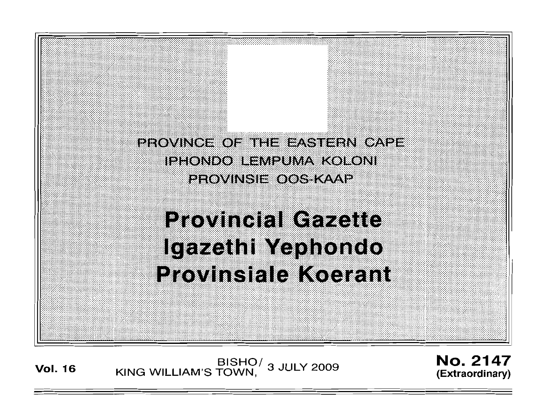

# **Provincial Gazette** Igazethi Yephondo **Provinsiale Koerant**

**Vol. <sup>16</sup>** BISHO/ KING WILLIAM'S TOWN , 3 JULY 2009

No. 2147 **(Extraordinary)**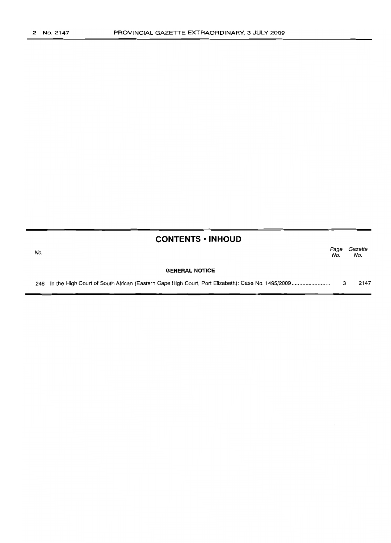| <b>CONTENTS • INHOUD</b> |                                                                                                      |             |                |
|--------------------------|------------------------------------------------------------------------------------------------------|-------------|----------------|
| No.                      |                                                                                                      | Page<br>No. | Gazette<br>No. |
|                          | <b>GENERAL NOTICE</b>                                                                                |             |                |
|                          | 246 In the High Court of South African (Eastern Cape High Court, Port Elizabeth): Case No. 1495/2009 |             | 2147           |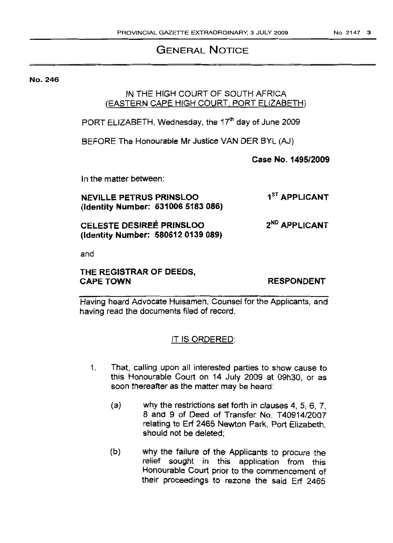### GENERAL NOTICE

No. 246

#### IN THE HIGH COURT OF SOUTH AFRICA (EASTERN CAPE HIGH COURT, PORT ELIZABETH)

PORT ELIZABETH, Wednesday, the  $17<sup>th</sup>$  day of June 2009

BEFORE The Honourable Mr Justice VAN DER BYL (AJ)

Case No. 1495/2009

In the matter between:

NEVILLE PETRUS PRINSLOO (Identity Number: 6310065183086) 1<sup>ST</sup> APPLICANT

CELESTE DESIREE PRINSLOO (Identity Number: 5806120139089)

and

#### THE REGISTRAR OF DEEDS, **CAPE TOWN**

RESPONDENT

2<sup>ND</sup> APPLICANT

Having heard Advocate Huisamen, Counsel for the Applicants, and having read the documents filed of record.

#### IT IS ORDERED:

- 1. That, calling upon all interested parties to show cause to this Honourable Court on 14 July 2009 at 09h30, or as soon thereafter as the matter may be heard:
	- (a) why the restrictions set forth in clauses 4, 5, 6, 7, 8 and 9 of Deed of Transfer No. T40914/2007 relating to Erf 2465 Newton Park, Port Elizabeth, should not be deleted;
	- (b) why the failure of the Applicants to procure the relief sought in this application from this Honourable Court prior to the commencement of their proceedings to rezone the said Erf 2465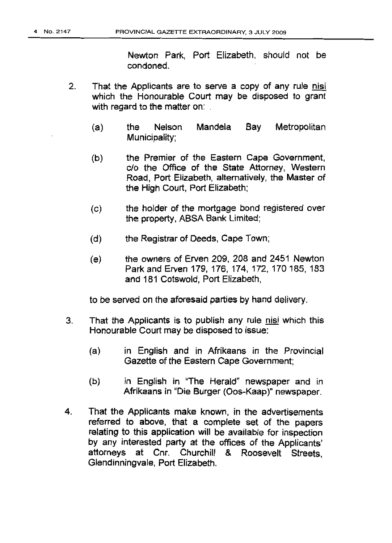Newton Park, Port Elizabeth, should not be condoned.

- 2. That the Applicants are to serve a copy of any rule nisi which the Honourable Court may be disposed to grant with regard to the matter on:
	- (a) the Nelson Mandela Bay Metropolitan Municipality;
	- (b) the Premier of the Eastern Cape Government, c/o the Office of the State Attorney, Western Road, Port Elizabeth, alternatively, the Master of the High Court, Port Elizabeth;
	- (c) the holder of the mortgage bond registered over the property, ABSA Bank Limited;
	- (d) the Registrar of Deeds, Cape Town;
	- (e) the owners of Erven 209, 208 and 2451 Newton Park and Erven 179, 176, 174, 172, 170 185, 183 and 181 Cotswold, Port Elizabeth,

to be served on the aforesaid parties by hand delivery.

- 3. That the Applicants is to publish any rule nisi which this Honourable Court may be disposed to issue:
	- (a) in English and in Afrikaans in the Provincial Gazette of the Eastern Cape Government;
	- (b) in English in "The Herald" newspaper and in Afrikaans in "Die Burger (Oos-Kaap)" newspaper.
- 4. That the Applicants make known, in the advertisements referred to above, that a complete set of the papers relating to this application will be available for inspection by any interested party at the offices of the Applicants' attorneys at Cnr. Churchill & Roosevelt Streets, Glendinningvale, Port Elizabeth.